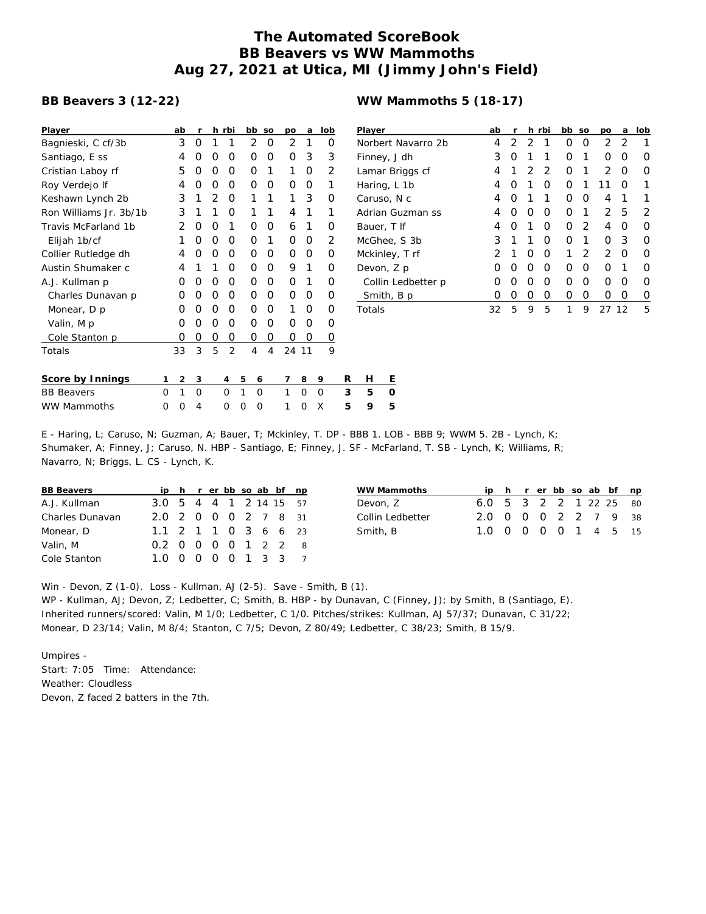## **The Automated ScoreBook BB Beavers vs WW Mammoths Aug 27, 2021 at Utica, MI (Jimmy John's Field)**

## **BB Beavers 3 (12-22)**

| Player                 |          | ab | r        |                | h rbi          |               | bb             | SO | po | a     | lob      |   | Player    |   |
|------------------------|----------|----|----------|----------------|----------------|---------------|----------------|----|----|-------|----------|---|-----------|---|
| Bagnieski, C cf/3b     |          | 3  | O        | 1              | 1              |               | $\overline{2}$ | O  | 2  | 1     | Ο        |   | Norbert   |   |
| Santiago, E ss         |          | 4  | Ω        | 0              | 0              |               | 0              | 0  | 0  | 3     | 3        |   | Finney, . |   |
| Cristian Laboy rf      |          | 5  | O        | 0              | O              |               | 0              | 1  | 1  | 0     | 2        |   | Lamar B   |   |
| Roy Verdejo If         |          | 4  | O        | O              | 0              |               | 0              | O  | 0  | 0     | 1        |   | Haring, I |   |
| Keshawn Lynch 2b       |          | 3  | 1        | $\overline{2}$ | O              |               | 1              | 1  | 1  | 3     | O        |   | Caruso,   |   |
| Ron Williams Jr. 3b/1b |          | 3  | 1        | 1              | O              |               | 1              | 1  | 4  | 1     | 1        |   | Adrian G  |   |
| Travis McFarland 1b    |          | 2  | O        | 0              | 1              |               | 0              | O  | 6  | 1     | Ο        |   | Bauer, T  |   |
| Elijah 1b/cf           |          | 1  | O        | 0              | 0              |               | 0              | 1  | 0  | 0     | 2        |   | McGhee,   |   |
| Collier Rutledge dh    |          | 4  | O        | 0              | 0              |               | 0              | O  | O  | 0     | O        |   | Mckinley  |   |
| Austin Shumaker c      |          | 4  | 1        | 1              | O              |               | Ο              | O  | 9  | 1     | Ο        |   | Devon, 2  |   |
| A.J. Kullman p         |          | Ο  | O        | 0              | O              |               | 0              | O  | 0  | 1     | O        |   | Collin L  |   |
| Charles Dunavan p      |          | Ο  | Ο        | 0              | O              |               | 0              | O  | O  | 0     | Ο        |   | Smith,    |   |
| Monear, D p            |          | Ο  | O        | 0              | 0              |               | 0              | O  | 1  | O     | Ο        |   | Totals    |   |
| Valin, M p             |          | 0  | O        | 0              | 0              |               | 0              | 0  | O  | 0     | O        |   |           |   |
| Cole Stanton p         |          | Ο  | O        | 0              | O              |               | 0              | 0  | 0  | O     | 0        |   |           |   |
| Totals                 |          | 33 | 3        | 5              | $\overline{2}$ |               | 4              | 4  |    | 24 11 | 9        |   |           |   |
| Score by Innings       | 1        | 2  | 3        |                | 4              | 5             | 6              |    | 7  | 8     | 9        | R | Н         | Ε |
| <b>BB Beavers</b>      | $\Omega$ | 1  | $\Omega$ |                | $\Omega$       | 1             | $\Omega$       |    | 1  | O     | $\Omega$ | 3 | 5         | O |
| <b>WW Mammoths</b>     | 0        | O  | 4        |                | 0              | $\mathcal{O}$ | 0              |    | 1  | Ω     | Χ        | 5 | 9         | 5 |

|  | WW Mammoths 5 (18-17) |  |  |
|--|-----------------------|--|--|
|--|-----------------------|--|--|

| Player             | ab | r |   | h rbi | bb | SO | DO | a  | lob |
|--------------------|----|---|---|-------|----|----|----|----|-----|
| Norbert Navarro 2b | 4  | 2 | 2 | 1     | Ο  | Ο  | 2  | 2  | 1   |
| Finney, J dh       | 3  | Ω | 1 | 1     | Ω  | 1  | Ω  | Ω  | Ω   |
| Lamar Briggs cf    | 4  | 1 | 2 | 2     | Ο  | 1  | 2  | O  | Ω   |
| Haring, L 1b       | 4  | Ω | 1 | Ω     | Ω  | 1  |    | Ω  | 1   |
| Caruso, N c        | 4  | O | 1 | 1     | Ω  | Ω  | 4  | 1  | 1   |
| Adrian Guzman ss   | 4  | O | Ω | O     | O  | 1  | 2  | 5  | 2   |
| Bauer, T If        | 4  | Ω | 1 | Ο     | Ο  | 2  | 4  | O  | Ω   |
| McGhee, S 3b       | 3  | 1 | 1 | Ω     | Ω  | 1  | Ω  | 3  | Ω   |
| Mckinley, T rf     | 2  | 1 | Ω | Ω     | 1  | 2  | 2  | O  | ∩   |
| Devon, Z p         | Ω  | Ω | Ω | Ω     | Ω  | Ω  | Ω  | 1  | Ω   |
| Collin Ledbetter p | 0  | Ω | Ω | Ω     | Ω  | Ω  | Ω  | Ω  | Ω   |
| Smith, B p         | Ω  | Ο | Ο | 0     | Ο  | 0  | ი  | 0  | O   |
| Totals             | 32 | 5 | 9 | 5     | 1  | 9  | 27 | 12 | 5   |

E - Haring, L; Caruso, N; Guzman, A; Bauer, T; Mckinley, T. DP - BBB 1. LOB - BBB 9; WWM 5. 2B - Lynch, K; Shumaker, A; Finney, J; Caruso, N. HBP - Santiago, E; Finney, J. SF - McFarland, T. SB - Lynch, K; Williams, R; Navarro, N; Briggs, L. CS - Lynch, K.

| <b>BB Beavers</b> |                        |  |  |  | ip h r er bb so ab bf np |  |
|-------------------|------------------------|--|--|--|--------------------------|--|
| A.J. Kullman      | 3.0 5 4 4 1 2 14 15 57 |  |  |  |                          |  |
| Charles Dunavan   | 2.0 2 0 0 0 2 7 8 31   |  |  |  |                          |  |
| Monear, D         | 1.1 2 1 1 0 3 6 6 23   |  |  |  |                          |  |
| Valin, M          | 0.2 0 0 0 0 1 2 2 8    |  |  |  |                          |  |
| Cole Stanton      | 1.0 0 0 0 0 1 3 3 7    |  |  |  |                          |  |

| WW Mammoths      |                        |  |  |  | ip h r er bb so ab bf np |
|------------------|------------------------|--|--|--|--------------------------|
| Devon, Z         | 6.0 5 3 2 2 1 22 25 80 |  |  |  |                          |
| Collin Ledbetter | 2.0 0 0 0 2 2 7 9 38   |  |  |  |                          |
| Smith, B         | 1.0 0 0 0 0 1 4 5 15   |  |  |  |                          |

Win - Devon, Z (1-0). Loss - Kullman, AJ (2-5). Save - Smith, B (1).

WP - Kullman, AJ; Devon, Z; Ledbetter, C; Smith, B. HBP - by Dunavan, C (Finney, J); by Smith, B (Santiago, E). Inherited runners/scored: Valin, M 1/0; Ledbetter, C 1/0. Pitches/strikes: Kullman, AJ 57/37; Dunavan, C 31/22; Monear, D 23/14; Valin, M 8/4; Stanton, C 7/5; Devon, Z 80/49; Ledbetter, C 38/23; Smith, B 15/9.

Umpires - Start: 7:05 Time: Attendance: Weather: Cloudless Devon, Z faced 2 batters in the 7th.